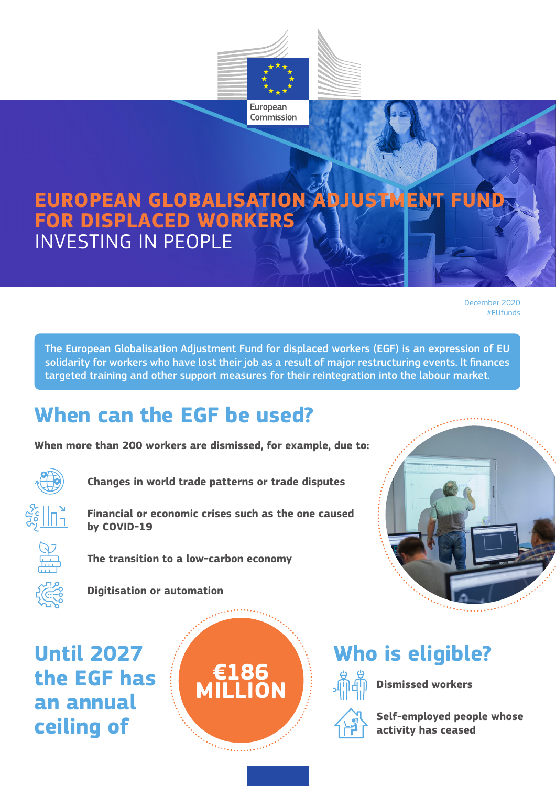

#### **EU POPEAN GLORALIS** *<u>COR DISPLAC</u>* **EUROPEAN GLOBALISATION ADJUSTMENT FUND FOR DISPLACED WORKERS** INVESTING IN PEOPLE

December 2020 #EUfunds

The European Globalisation Adjustment Fund for displaced workers (EGF) is an expression of EU solidarity for workers who have lost their job as a result of major restructuring events. It finances targeted training and other support measures for their reintegration into the labour market.

## **When can the EGF be used?**

**When more than 200 workers are dismissed, for example, due to:** 



**Changes in world trade patterns or trade disputes**



**Financial or economic crises such as the one caused by COVID-19**



**The transition to a low-carbon economy** 



**Digitisation or automation**

**Until 2027 the EGF has an annual ceiling of** 



# **Who is eligible?**



**Dismissed workers** 

**Self-employed people whose activity has ceased**